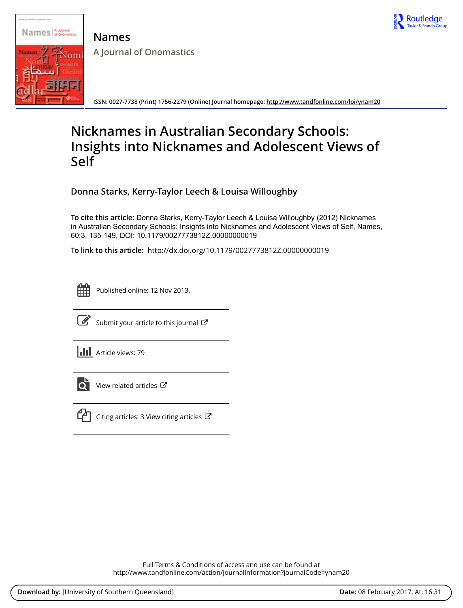

**Names A Journal of Onomastics**



Namesla

**ISSN: 0027-7738 (Print) 1756-2279 (Online) Journal homepage:<http://www.tandfonline.com/loi/ynam20>**

# **Nicknames in Australian Secondary Schools: Insights into Nicknames and Adolescent Views of Self**

**Donna Starks, Kerry-Taylor Leech & Louisa Willoughby**

**To cite this article:** Donna Starks, Kerry-Taylor Leech & Louisa Willoughby (2012) Nicknames in Australian Secondary Schools: Insights into Nicknames and Adolescent Views of Self, Names, 60:3, 135-149, DOI: [10.1179/0027773812Z.00000000019](http://www.tandfonline.com/action/showCitFormats?doi=10.1179/0027773812Z.00000000019)

**To link to this article:** <http://dx.doi.org/10.1179/0027773812Z.00000000019>



Published online: 12 Nov 2013.



 $\overline{\mathscr{L}}$  [Submit your article to this journal](http://www.tandfonline.com/action/authorSubmission?journalCode=ynam20&show=instructions)  $\mathbb{F}$ 





 $\overline{Q}$  [View related articles](http://www.tandfonline.com/doi/mlt/10.1179/0027773812Z.00000000019)  $\mathbb{Z}$ 



 $\Box$  [Citing articles: 3 View citing articles](http://www.tandfonline.com/doi/citedby/10.1179/0027773812Z.00000000019#tabModule)  $\Box$ 

Full Terms & Conditions of access and use can be found at <http://www.tandfonline.com/action/journalInformation?journalCode=ynam20>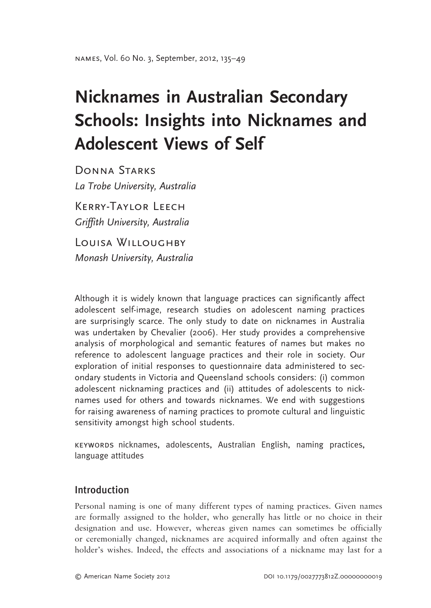# **Nicknames in Australian Secondary Schools: Insights into Nicknames and Adolescent Views of Self**

Donna Starks*La Trobe University, Australia* Kerry-Taylor Leech

*Griffith University, Australia*

Louisa Willoughby*Monash University, Australia*

Although it is widely known that language practices can significantly affect adolescent self-image, research studies on adolescent naming practices are surprisingly scarce. The only study to date on nicknames in Australia was undertaken by Chevalier (2006). Her study provides a comprehensive analysis of morphological and semantic features of names but makes no reference to adolescent language practices and their role in society. Our exploration of initial responses to questionnaire data administered to secondary students in Victoria and Queensland schools considers: (i) common adolescent nicknaming practices and (ii) attitudes of adolescents to nicknames used for others and towards nicknames. We end with suggestions for raising awareness of naming practices to promote cultural and linguistic sensitivity amongst high school students.

keywords nicknames, adolescents, Australian English, naming practices, language attitudes

# Introduction

Personal naming is one of many different types of naming practices. Given names are formally assigned to the holder, who generally has little or no choice in their designation and use. However, whereas given names can sometimes be officially or ceremonially changed, nicknames are acquired informally and often against the holder's wishes. Indeed, the effects and associations of a nickname may last for a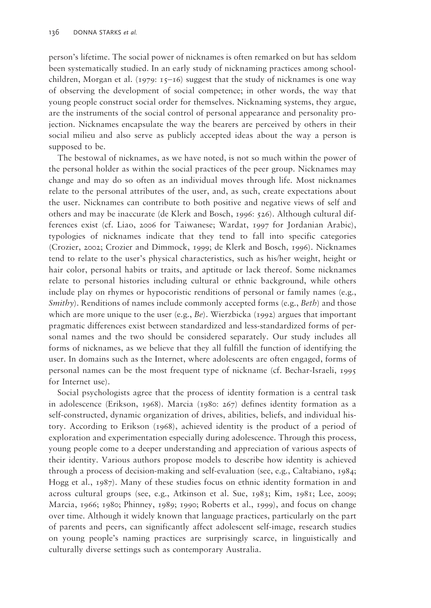person's lifetime. The social power of nicknames is often remarked on but has seldom been systematically studied. In an early study of nicknaming practices among schoolchildren, Morgan et al. (1979:  $15-16$ ) suggest that the study of nicknames is one way of observing the development of social competence; in other words, the way that young people construct social order for themselves. Nicknaming systems, they argue, are the instruments of the social control of personal appearance and personality projection. Nicknames encapsulate the way the bearers are perceived by others in their social milieu and also serve as publicly accepted ideas about the way a person is supposed to be.

The bestowal of nicknames, as we have noted, is not so much within the power of the personal holder as within the social practices of the peer group. Nicknames may change and may do so often as an individual moves through life. Most nicknames relate to the personal attributes of the user, and, as such, create expectations about the user. Nicknames can contribute to both positive and negative views of self and others and may be inaccurate (de Klerk and Bosch, 1996: 526). Although cultural differences exist (cf. Liao, 2006 for Taiwanese; Wardat, 1997 for Jordanian Arabic), typologies of nicknames indicate that they tend to fall into specific categories (Crozier, 2002; Crozier and Dimmock, 1999; de Klerk and Bosch, 1996). Nicknames tend to relate to the user's physical characteristics, such as his/her weight, height or hair color, personal habits or traits, and aptitude or lack thereof. Some nicknames relate to personal histories including cultural or ethnic background, while others include play on rhymes or hypocoristic renditions of personal or family names (e.g., *Smithy*). Renditions of names include commonly accepted forms (e.g., *Beth*) and those which are more unique to the user (e.g., *Be*). Wierzbicka (1992) argues that important pragmatic differences exist between standardized and less-standardized forms of personal names and the two should be considered separately. Our study includes all forms of nicknames, as we believe that they all fulfill the function of identifying the user. In domains such as the Internet, where adolescents are often engaged, forms of personal names can be the most frequent type of nickname (cf. Bechar-Israeli, 1995 for Internet use).

Social psychologists agree that the process of identity formation is a central task in adolescence (Erikson, 1968). Marcia (1980: 267) defines identity formation as a self-constructed, dynamic organization of drives, abilities, beliefs, and individual history. According to Erikson (1968), achieved identity is the product of a period of exploration and experimentation especially during adolescence. Through this process, young people come to a deeper understanding and appreciation of various aspects of their identity. Various authors propose models to describe how identity is achieved through a process of decision-making and self-evaluation (see, e.g., Caltabiano, 1984; Hogg et al., 1987). Many of these studies focus on ethnic identity formation in and across cultural groups (see, e.g., Atkinson et al. Sue, 1983; Kim, 1981; Lee, 2009; Marcia, 1966; 1980; Phinney, 1989; 1990; Roberts et al., 1999), and focus on change over time. Although it widely known that language practices, particularly on the part of parents and peers, can significantly affect adolescent self-image, research studies on young people's naming practices are surprisingly scarce, in linguistically and culturally diverse settings such as contemporary Australia.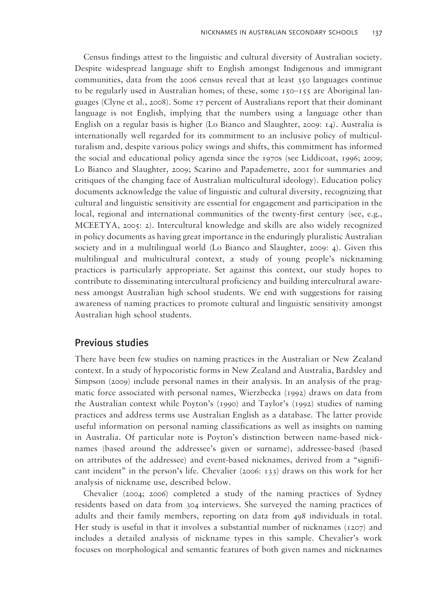Census findings attest to the linguistic and cultural diversity of Australian society. Despite widespread language shift to English amongst Indigenous and immigrant communities, data from the 2006 census reveal that at least 350 languages continue to be regularly used in Australian homes; of these, some 150–155 are Aboriginal languages (Clyne et al., 2008). Some 17 percent of Australians report that their dominant language is not English, implying that the numbers using a language other than English on a regular basis is higher (Lo Bianco and Slaughter, 2009: 14). Australia is internationally well regarded for its commitment to an inclusive policy of multiculturalism and, despite various policy swings and shifts, this commitment has informed the social and educational policy agenda since the 1970s (see Liddicoat, 1996; 2009; Lo Bianco and Slaughter, 2009; Scarino and Papademetre, 2001 for summaries and critiques of the changing face of Australian multicultural ideology). Education policy documents acknowledge the value of linguistic and cultural diversity, recognizing that cultural and linguistic sensitivity are essential for engagement and participation in the local, regional and international communities of the twenty-first century (see, e.g., MCEETYA, 2005: 2). Intercultural knowledge and skills are also widely recognized in policy documents as having great importance in the enduringly pluralistic Australian society and in a multilingual world (Lo Bianco and Slaughter, 2009: 4). Given this multilingual and multicultural context, a study of young people's nicknaming practices is particularly appropriate. Set against this context, our study hopes to contribute to disseminating intercultural proficiency and building intercultural awareness amongst Australian high school students. We end with suggestions for raising awareness of naming practices to promote cultural and linguistic sensitivity amongst Australian high school students.

#### Previous studies

There have been few studies on naming practices in the Australian or New Zealand context. In a study of hypocoristic forms in New Zealand and Australia, Bardsley and Simpson (2009) include personal names in their analysis. In an analysis of the pragmatic force associated with personal names, Wierzbecka (1992) draws on data from the Australian context while Poyton's (1990) and Taylor's (1992) studies of naming practices and address terms use Australian English as a database. The latter provide useful information on personal naming classifications as well as insights on naming in Australia. Of particular note is Poyton's distinction between name-based nicknames (based around the addressee's given or surname), addressee-based (based on attributes of the addressee) and event-based nicknames, derived from a "significant incident" in the person's life. Chevalier (2006: 133) draws on this work for her analysis of nickname use, described below.

Chevalier (2004; 2006) completed a study of the naming practices of Sydney residents based on data from 304 interviews. She surveyed the naming practices of adults and their family members, reporting on data from 498 individuals in total. Her study is useful in that it involves a substantial number of nicknames (1207) and includes a detailed analysis of nickname types in this sample. Chevalier's work focuses on morphological and semantic features of both given names and nicknames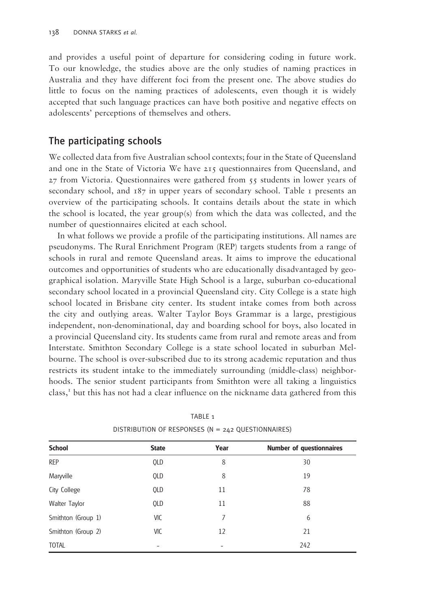and provides a useful point of departure for considering coding in future work. To our knowledge, the studies above are the only studies of naming practices in Australia and they have different foci from the present one. The above studies do little to focus on the naming practices of adolescents, even though it is widely accepted that such language practices can have both positive and negative effects on adolescents' perceptions of themselves and others.

# The participating schools

We collected data from five Australian school contexts; four in the State of Queensland and one in the State of Victoria We have 215 questionnaires from Queensland, and 27 from Victoria. Questionnaires were gathered from 55 students in lower years of secondary school, and  $187$  in upper years of secondary school. Table 1 presents an overview of the participating schools. It contains details about the state in which the school is located, the year group(s) from which the data was collected, and the number of questionnaires elicited at each school.

In what follows we provide a profile of the participating institutions. All names are pseudonyms. The Rural Enrichment Program (REP) targets students from a range of schools in rural and remote Queensland areas. It aims to improve the educational outcomes and opportunities of students who are educationally disadvantaged by geographical isolation. Maryville State High School is a large, suburban co-educational secondary school located in a provincial Queensland city. City College is a state high school located in Brisbane city center. Its student intake comes from both across the city and outlying areas. Walter Taylor Boys Grammar is a large, prestigious independent, non-denominational, day and boarding school for boys, also located in a provincial Queensland city. Its students came from rural and remote areas and from Interstate. Smithton Secondary College is a state school located in suburban Melbourne. The school is over-subscribed due to its strong academic reputation and thus restricts its student intake to the immediately surrounding (middle-class) neighborhoods. The senior student participants from Smithton were all taking a linguistics class,<sup>1</sup> but this has not had a clear influence on the nickname data gathered from this

| <b>School</b>      | <b>State</b> | Year | <b>Number of questionnaires</b> |
|--------------------|--------------|------|---------------------------------|
| <b>REP</b>         | QLD          | 8    | 30                              |
| Maryville          | <b>OLD</b>   | 8    | 19                              |
| City College       | QLD          | 11   | 78                              |
| Walter Taylor      | QLD          | 11   | 88                              |
| Smithton (Group 1) | <b>VIC</b>   | 7    | 6                               |
| Smithton (Group 2) | <b>VIC</b>   | 12   | 21                              |
| <b>TOTAL</b>       | -            | -    | 242                             |

TABLE 1 DISTRIBUTION OF RESPONSES (N = 242 QUESTIONNAIRES)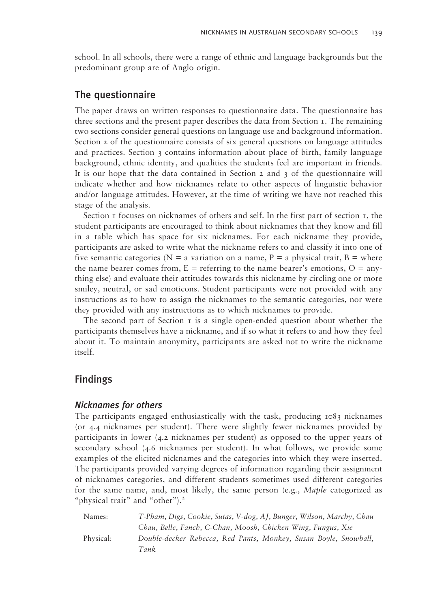school. In all schools, there were a range of ethnic and language backgrounds but the predominant group are of Anglo origin.

#### The questionnaire

The paper draws on written responses to questionnaire data. The questionnaire has three sections and the present paper describes the data from Section 1. The remaining two sections consider general questions on language use and background information. Section 2 of the questionnaire consists of six general questions on language attitudes and practices. Section 3 contains information about place of birth, family language background, ethnic identity, and qualities the students feel are important in friends. It is our hope that the data contained in Section  $\frac{1}{2}$  and  $\frac{1}{3}$  of the questionnaire will indicate whether and how nicknames relate to other aspects of linguistic behavior and/or language attitudes. However, at the time of writing we have not reached this stage of the analysis.

Section 1 focuses on nicknames of others and self. In the first part of section 1, the student participants are encouraged to think about nicknames that they know and fill in a table which has space for six nicknames. For each nickname they provide, participants are asked to write what the nickname refers to and classify it into one of five semantic categories ( $N = a$  variation on a name,  $P = a$  physical trait,  $B =$  where the name bearer comes from,  $E =$  referring to the name bearer's emotions,  $O =$  anything else) and evaluate their attitudes towards this nickname by circling one or more smiley, neutral, or sad emoticons. Student participants were not provided with any instructions as to how to assign the nicknames to the semantic categories, nor were they provided with any instructions as to which nicknames to provide.

The second part of Section  $\bar{1}$  is a single open-ended question about whether the participants themselves have a nickname, and if so what it refers to and how they feel about it. To maintain anonymity, participants are asked not to write the nickname itself.

#### Findings

#### *Nicknames for others*

The participants engaged enthusiastically with the task, producing 1083 nicknames (or 4.4 nicknames per student). There were slightly fewer nicknames provided by participants in lower (4.2 nicknames per student) as opposed to the upper years of secondary school (4.6 nicknames per student). In what follows, we provide some examples of the elicited nicknames and the categories into which they were inserted. The participants provided varying degrees of information regarding their assignment of nicknames categories, and different students sometimes used different categories for the same name, and, most likely, the same person (e.g., *Maple* categorized as "physical trait" and "other").<sup>2</sup>

| Names:    | T-Pham, Digs, Cookie, Sutas, V-dog, AJ, Bunger, Wilson, Marchy, Chau |
|-----------|----------------------------------------------------------------------|
|           | Chau, Belle, Fanch, C-Chan, Moosh, Chicken Wing, Fungus, Xie         |
| Physical: | Double-decker Rebecca, Red Pants, Monkey, Susan Boyle, Snowball,     |
|           | Tank                                                                 |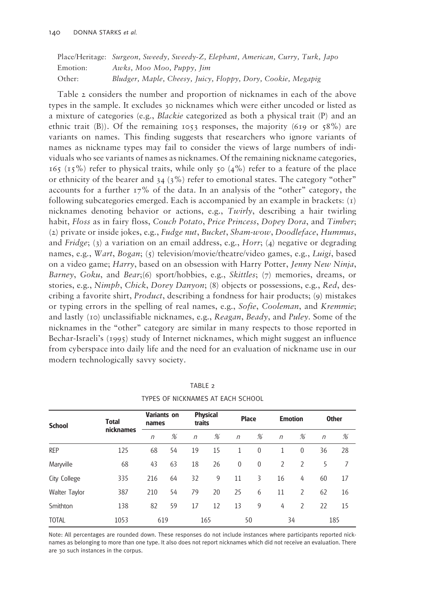Place/Heritage: *Surgeon, Sweedy, Sweedy-Z, Elephant, American, Curry, Turk, Japo* Emotion: *Awks, Moo Moo, Puppy, Jim* Other: *Bludger, Maple, Cheesy, Juicy, Floppy, Dory, Cookie, Megapig*

Table 2 considers the number and proportion of nicknames in each of the above types in the sample. It excludes 30 nicknames which were either uncoded or listed as a mixture of categories (e.g., *Blackie* categorized as both a physical trait (P) and an ethnic trait (B)). Of the remaining 1053 responses, the majority (619 or  $58\%$ ) are variants on names. This finding suggests that researchers who ignore variants of names as nickname types may fail to consider the views of large numbers of individuals who see variants of names as nicknames. Of the remaining nickname categories, 165 (15%) refer to physical traits, while only 50 (4%) refer to a feature of the place or ethnicity of the bearer and  $34$  ( $3\%$ ) refer to emotional states. The category "other" accounts for a further  $17\%$  of the data. In an analysis of the "other" category, the following subcategories emerged. Each is accompanied by an example in brackets: (1) nicknames denoting behavior or actions, e.g., *Twirly*, describing a hair twirling habit, *Floss* as in fairy floss, *Couch Potato*, *Price Princess*, *Dopey Dora*, and *Timber*; (2) private or inside jokes, e.g., *Fudge nut*, *Bucket*, *Sham-wow*, *Doodleface*, *Hummus*, and *Fridge*; (3) a variation on an email address, e.g., *Horr*; (4) negative or degrading names, e.g., *Wart*, *Bogan*; (5) television/movie/theatre/video games, e.g., *Luigi*, based on a video game; *Harry*, based on an obsession with Harry Potter, *Jenny New Ninja*, *Barney*, *Goku*, and *Bear*;(6) sport/hobbies, e.g., *Skittles*; (7) memories, dreams, or stories, e.g., *Nimph*, *Chick*, *Dorey Danyon*; (8) objects or possessions, e.g., *Red*, describing a favorite shirt, *Product*, describing a fondness for hair products; (9) mistakes or typing errors in the spelling of real names, e.g., *Sofie*, *Cooleman*, and *Kremmie*; and lastly (10) unclassifiable nicknames, e.g., *Reagan*, *Beady*, and *Puley*. Some of the nicknames in the "other" category are similar in many respects to those reported in Bechar-Israeli's (1995) study of Internet nicknames, which might suggest an influence from cyberspace into daily life and the need for an evaluation of nickname use in our modern technologically savvy society.

| <b>School</b> | <b>Total</b><br>nicknames | <b>Variants on</b><br>names |    | <b>Physical</b><br>traits |     |              | <b>Place</b> |                | <b>Emotion</b> |        | <b>Other</b> |  |
|---------------|---------------------------|-----------------------------|----|---------------------------|-----|--------------|--------------|----------------|----------------|--------|--------------|--|
|               |                           | $\sqrt{n}$                  | %  | $\sqrt{n}$                | %   | $\eta$       | %            | $\sqrt{n}$     | %              | $\eta$ | %            |  |
| <b>REP</b>    | 125                       | 68                          | 54 | 19                        | 15  | 1            | $\mathbf{0}$ | 1              | $\mathbf{0}$   | 36     | 28           |  |
| Maryville     | 68                        | 43                          | 63 | 18                        | 26  | $\mathbf{0}$ | $\theta$     | $\overline{2}$ | $\overline{2}$ | 5      | 7            |  |
| City College  | 335                       | 216                         | 64 | 32                        | 9   | 11           | 3            | 16             | 4              | 60     | 17           |  |
| Walter Taylor | 387                       | 210                         | 54 | 79                        | 20  | 25           | 6            | 11             | 2              | 62     | 16           |  |
| Smithton      | 138                       | 82                          | 59 | 17                        | 12  | 13           | 9            | 4              | $\overline{2}$ | 22     | 15           |  |
| <b>TOTAL</b>  | 1053                      | 619                         |    |                           | 165 | 50           |              | 34             |                |        | 185          |  |

| TABLE 2                           |  |  |
|-----------------------------------|--|--|
| TYPES OF NICKNAMES AT EACH SCHOOL |  |  |

Note: All percentages are rounded down. These responses do not include instances where participants reported nicknames as belonging to more than one type. It also does not report nicknames which did not receive an evaluation. There are 30 such instances in the corpus.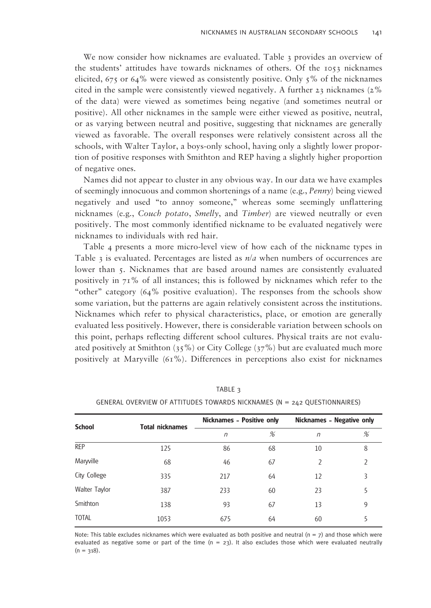We now consider how nicknames are evaluated. Table 3 provides an overview of the students' attitudes have towards nicknames of others. Of the 1053 nicknames elicited, 675 or 64% were viewed as consistently positive. Only  $5\%$  of the nicknames cited in the sample were consistently viewed negatively. A further  $23$  nicknames ( $2\%$ of the data) were viewed as sometimes being negative (and sometimes neutral or positive). All other nicknames in the sample were either viewed as positive, neutral, or as varying between neutral and positive, suggesting that nicknames are generally viewed as favorable. The overall responses were relatively consistent across all the schools, with Walter Taylor, a boys-only school, having only a slightly lower proportion of positive responses with Smithton and REP having a slightly higher proportion of negative ones.

Names did not appear to cluster in any obvious way. In our data we have examples of seemingly innocuous and common shortenings of a name (e.g., *Penny*) being viewed negatively and used "to annoy someone," whereas some seemingly unflattering nicknames (e.g., *Couch potato*, *Smelly*, and *Timber*) are viewed neutrally or even positively. The most commonly identified nickname to be evaluated negatively were nicknames to individuals with red hair.

Table 4 presents a more micro-level view of how each of the nickname types in Table 3 is evaluated. Percentages are listed as *n/a* when numbers of occurrences are lower than 5. Nicknames that are based around names are consistently evaluated positively in  $71\%$  of all instances; this is followed by nicknames which refer to the "other" category (64% positive evaluation). The responses from the schools show some variation, but the patterns are again relatively consistent across the institutions. Nicknames which refer to physical characteristics, place, or emotion are generally evaluated less positively. However, there is considerable variation between schools on this point, perhaps reflecting different school cultures. Physical traits are not evaluated positively at Smithton (35%) or City College (37%) but are evaluated much more positively at Maryville (61%). Differences in perceptions also exist for nicknames

| <b>School</b> | <b>Total nicknames</b> | <b>Nicknames - Positive only</b> |    | <b>Nicknames - Negative only</b> |   |  |
|---------------|------------------------|----------------------------------|----|----------------------------------|---|--|
|               |                        | $\eta$                           | %  | $\sqrt{n}$                       | % |  |
| <b>REP</b>    | 125                    | 86                               | 68 | 10                               | 8 |  |
| Maryville     | 68                     | 46                               | 67 |                                  | 2 |  |
| City College  | 335                    | 217                              | 64 | 12                               | 3 |  |
| Walter Taylor | 387                    | 233                              | 60 | 23                               | 5 |  |
| Smithton      | 138                    | 93                               | 67 | 13                               | 9 |  |
| <b>TOTAL</b>  | 1053                   | 675                              | 64 | 60                               | 5 |  |

TABLE 3

GENERAL OVERVIEW OF ATTITUDES TOWARDS NICKNAMES (N = 242 QUESTIONNAIRES)

Note: This table excludes nicknames which were evaluated as both positive and neutral  $(n = 7)$  and those which were evaluated as negative some or part of the time  $(n = 23)$ . It also excludes those which were evaluated neutrally  $(n = 318)$ .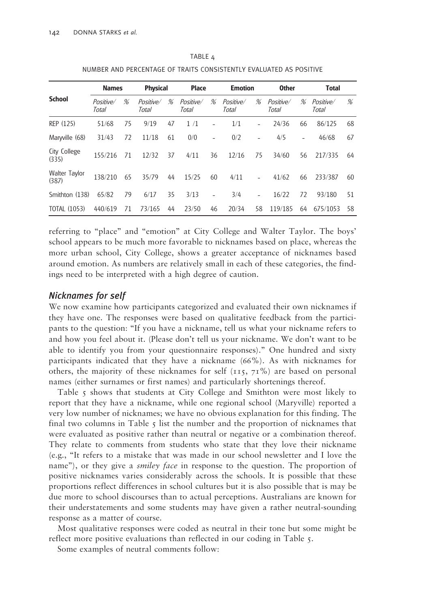|                        | <b>Names</b>       |    | <b>Physical</b>    |    | <b>Place</b>       |    | <b>Emotion</b>     |                          | <b>Other</b>       |    | <b>Total</b>       |    |
|------------------------|--------------------|----|--------------------|----|--------------------|----|--------------------|--------------------------|--------------------|----|--------------------|----|
| <b>School</b>          | Positive/<br>Total | %  | Positive/<br>Total | %  | Positive/<br>Total | %  | Positive/<br>Total | %                        | Positive/<br>Total | %  | Positive/<br>Total | %  |
| REP (125)              | 51/68              | 75 | 9/19               | 47 | 1/1                |    | 1/1                |                          | 24/36              | 66 | 86/125             | 68 |
| Marwille (68)          | 31/43              | 72 | 11/18              | 61 | 0/0                | ۰  | 0/2                | $\overline{a}$           | 4/5                |    | 46/68              | 67 |
| City College<br>(335)  | 155/216            | 71 | 12/32              | 37 | 4/11               | 36 | 12/16              | 75                       | 34/60              | 56 | 217/335            | 64 |
| Walter Taylor<br>(387) | 138/210            | 65 | 35/79              | 44 | 15/25              | 60 | 4/11               |                          | 41/62              | 66 | 233/387            | 60 |
| Smithton (138)         | 65/82              | 79 | 6/17               | 35 | 3/13               | ۰  | 3/4                | $\overline{\phantom{a}}$ | 16/22              | 72 | 93/180             | 51 |
| <b>TOTAL (1053)</b>    | 440/619            | 71 | 73/165             | 44 | 23/50              | 46 | 20/34              | 58                       | 119/185            | 64 | 675/1053           | 58 |

TABLE 4 NUMBER AND PERCENTAGE OF TRAITS CONSISTENTLY EVALUATED AS POSITIVE

referring to "place" and "emotion" at City College and Walter Taylor. The boys' school appears to be much more favorable to nicknames based on place, whereas the more urban school, City College, shows a greater acceptance of nicknames based around emotion. As numbers are relatively small in each of these categories, the findings need to be interpreted with a high degree of caution.

#### *Nicknames for self*

We now examine how participants categorized and evaluated their own nicknames if they have one. The responses were based on qualitative feedback from the participants to the question: "If you have a nickname, tell us what your nickname refers to and how you feel about it. (Please don't tell us your nickname. We don't want to be able to identify you from your questionnaire responses)." One hundred and sixty participants indicated that they have a nickname (66%). As with nicknames for others, the majority of these nicknames for self  $(T_{15}, 71\%)$  are based on personal names (either surnames or first names) and particularly shortenings thereof.

Table 5 shows that students at City College and Smithton were most likely to report that they have a nickname, while one regional school (Maryville) reported a very low number of nicknames; we have no obvious explanation for this finding. The final two columns in Table  $\zeta$  list the number and the proportion of nicknames that were evaluated as positive rather than neutral or negative or a combination thereof. They relate to comments from students who state that they love their nickname (e.g., "It refers to a mistake that was made in our school newsletter and I love the name"), or they give a *smiley face* in response to the question. The proportion of positive nicknames varies considerably across the schools. It is possible that these proportions reflect differences in school cultures but it is also possible that is may be due more to school discourses than to actual perceptions. Australians are known for their understatements and some students may have given a rather neutral-sounding response as a matter of course.

Most qualitative responses were coded as neutral in their tone but some might be reflect more positive evaluations than reflected in our coding in Table 5.

Some examples of neutral comments follow: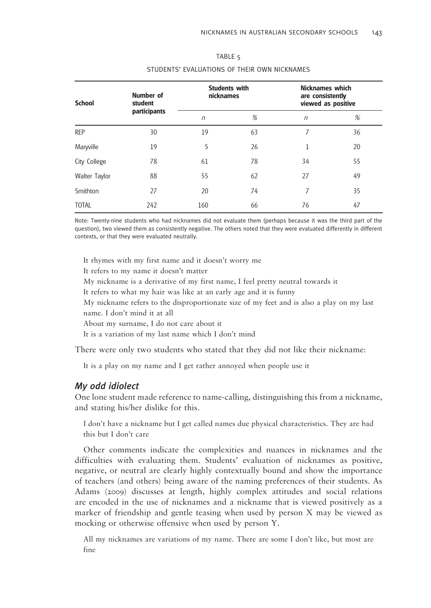| <b>School</b> | Number of<br>student | nicknames  | <b>Students with</b> | <b>Nicknames which</b><br>are consistently<br>viewed as positive |    |  |
|---------------|----------------------|------------|----------------------|------------------------------------------------------------------|----|--|
|               | participants         | $\sqrt{n}$ | %                    | $\sqrt{n}$                                                       | %  |  |
| <b>REP</b>    | 30                   | 19         | 63                   | 7                                                                | 36 |  |
| Maryville     | 19                   | 5          | 26                   | 1                                                                | 20 |  |
| City College  | 78                   | 61         | 78                   | 34                                                               | 55 |  |
| Walter Taylor | 88                   | 55         | 62                   | 27                                                               | 49 |  |
| Smithton      | 27                   | 20         | 74                   | 7                                                                | 35 |  |
| <b>TOTAL</b>  | 242                  | 160        | 66                   | 76                                                               | 47 |  |

| TABLE <sub>5</sub> |                                              |  |  |  |  |
|--------------------|----------------------------------------------|--|--|--|--|
|                    | STUDENTS' EVALUATIONS OF THEIR OWN NICKNAMES |  |  |  |  |

Note: Twenty-nine students who had nicknames did not evaluate them (perhaps because it was the third part of the question), two viewed them as consistently negative. The others noted that they were evaluated differently in different contexts, or that they were evaluated neutrally.

It rhymes with my first name and it doesn't worry me

It refers to my name it doesn't matter

My nickname is a derivative of my first name, I feel pretty neutral towards it

It refers to what my hair was like at an early age and it is funny

My nickname refers to the disproportionate size of my feet and is also a play on my last name. I don't mind it at all

About my surname, I do not care about it

It is a variation of my last name which I don't mind

There were only two students who stated that they did not like their nickname:

It is a play on my name and I get rather annoyed when people use it

#### *My odd idiolect*

One lone student made reference to name-calling, distinguishing this from a nickname, and stating his/her dislike for this.

I don't have a nickname but I get called names due physical characteristics. They are bad this but I don't care

Other comments indicate the complexities and nuances in nicknames and the difficulties with evaluating them. Students' evaluation of nicknames as positive, negative, or neutral are clearly highly contextually bound and show the importance of teachers (and others) being aware of the naming preferences of their students. As Adams (2009) discusses at length, highly complex attitudes and social relations are encoded in the use of nicknames and a nickname that is viewed positively as a marker of friendship and gentle teasing when used by person X may be viewed as mocking or otherwise offensive when used by person Y.

All my nicknames are variations of my name. There are some I don't like, but most are fine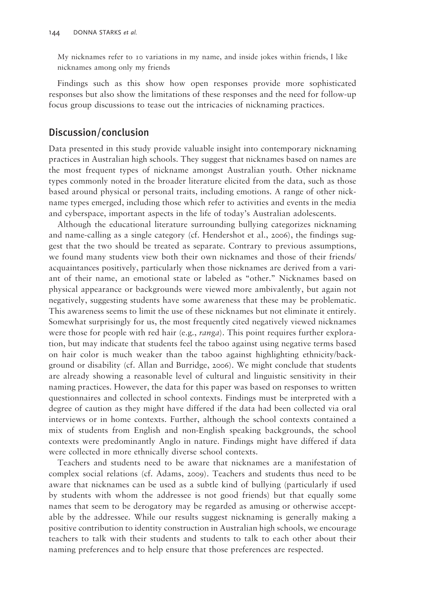My nicknames refer to 10 variations in my name, and inside jokes within friends, I like nicknames among only my friends

Findings such as this show how open responses provide more sophisticated responses but also show the limitations of these responses and the need for follow-up focus group discussions to tease out the intricacies of nicknaming practices.

#### Discussion/conclusion

Data presented in this study provide valuable insight into contemporary nicknaming practices in Australian high schools. They suggest that nicknames based on names are the most frequent types of nickname amongst Australian youth. Other nickname types commonly noted in the broader literature elicited from the data, such as those based around physical or personal traits, including emotions. A range of other nickname types emerged, including those which refer to activities and events in the media and cyberspace, important aspects in the life of today's Australian adolescents.

Although the educational literature surrounding bullying categorizes nicknaming and name-calling as a single category (cf. Hendershot et al., 2006), the findings suggest that the two should be treated as separate. Contrary to previous assumptions, we found many students view both their own nicknames and those of their friends/ acquaintances positively, particularly when those nicknames are derived from a variant of their name, an emotional state or labeled as "other." Nicknames based on physical appearance or backgrounds were viewed more ambivalently, but again not negatively, suggesting students have some awareness that these may be problematic. This awareness seems to limit the use of these nicknames but not eliminate it entirely. Somewhat surprisingly for us, the most frequently cited negatively viewed nicknames were those for people with red hair (e.g., *ranga*). This point requires further exploration, but may indicate that students feel the taboo against using negative terms based on hair color is much weaker than the taboo against highlighting ethnicity/background or disability (cf. Allan and Burridge, 2006). We might conclude that students are already showing a reasonable level of cultural and linguistic sensitivity in their naming practices. However, the data for this paper was based on responses to written questionnaires and collected in school contexts. Findings must be interpreted with a degree of caution as they might have differed if the data had been collected via oral interviews or in home contexts. Further, although the school contexts contained a mix of students from English and non-English speaking backgrounds, the school contexts were predominantly Anglo in nature. Findings might have differed if data were collected in more ethnically diverse school contexts.

Teachers and students need to be aware that nicknames are a manifestation of complex social relations (cf. Adams, 2009). Teachers and students thus need to be aware that nicknames can be used as a subtle kind of bullying (particularly if used by students with whom the addressee is not good friends) but that equally some names that seem to be derogatory may be regarded as amusing or otherwise acceptable by the addressee. While our results suggest nicknaming is generally making a positive contribution to identity construction in Australian high schools, we encourage teachers to talk with their students and students to talk to each other about their naming preferences and to help ensure that those preferences are respected.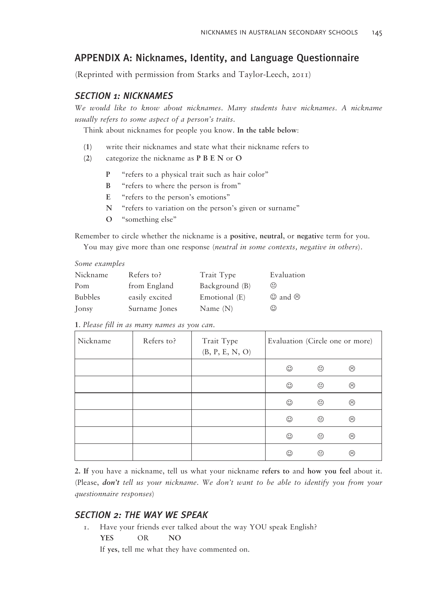## APPENDIX A: Nicknames, Identity, and Language Questionnaire

(Reprinted with permission from Starks and Taylor-Leech, 2011)

#### *SECTION 1: NICKNAMES*

*We would like to know about nicknames. Many students have nicknames. A nickname usually refers to some aspect of a person's traits.*

Think about nicknames for people you know. **In the table below**:

- **(1)** write their nicknames and state what their nickname refers to
- **(2)** categorize the nickname as **P B E N** or **O**
	- **P** "refers to a physical trait such as hair color"
	- **B** "refers to where the person is from"
	- **E** "refers to the person's emotions"
	- **N** "refers to variation on the person's given or surname"
	- **O** "something else"

Remember to circle whether the nickname is a **positive**, **neutral**, or **negativ**e term for you.

You may give more than one response (*neutral in some contexts, negative in others*)*.*

*Some examples*

| Nickname       | Refers to?     | Trait Type     | Evaluation                        |
|----------------|----------------|----------------|-----------------------------------|
| Pom            | from England   | Background (B) | ⊕                                 |
| <b>Bubbles</b> | easily excited | Emotional (E)  | $\circledcirc$ and $\circledcirc$ |
| Jonsy          | Surname Jones  | Name $(N)$     | $\odot$                           |

**1***. Please fill in as many names as you can.*

| Nickname | Refers to? | Trait Type<br>(B, P, E, N, O) | Evaluation (Circle one or more) |   |   |  |
|----------|------------|-------------------------------|---------------------------------|---|---|--|
|          |            |                               | ☺                               | ☺ | ☺ |  |
|          |            |                               | ☺                               | ☺ | ☺ |  |
|          |            |                               | ☺                               | ☺ | ☺ |  |
|          |            |                               | ☺                               | ⊕ | ⊛ |  |
|          |            |                               | ☺                               | ⊕ | ⊛ |  |
|          |            |                               | ☺                               | ⊕ | ж |  |

**2. If** you have a nickname, tell us what your nickname **refers to** and **how you feel** about it. (Please, *don't tell us your nickname. We don't want to be able to identify you from your questionnaire responses*)

#### *SECTION 2: THE WAY WE SPEAK*

1. Have your friends ever talked about the way YOU speak English? **YES** OR **NO**

If **yes**, tell me what they have commented on.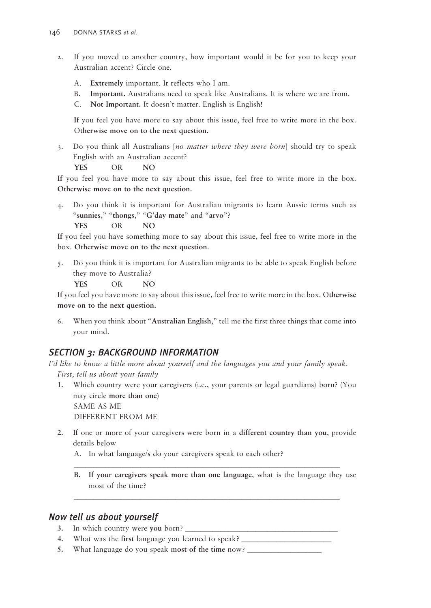- 2. If you moved to another country, how important would it be for you to keep your Australian accent? Circle one.
	- A. **Extremely** important. It reflects who I am.
	- B. **Important.** Australians need to speak like Australians. It is where we are from.
	- C. **Not Important.** It doesn't matter. English is English!

**If** you feel you have more to say about this issue, feel free to write more in the box. O**therwise move on to the next question.**

3. Do you think all Australians [*no matter where they were born*] should try to speak English with an Australian accent?

**YES** OR **NO**

**If** you feel you have more to say about this issue, feel free to write more in the box. **Otherwise move on to the next question.**

4. Do you think it is important for Australian migrants to learn Aussie terms such as "**sunnies**," "**thongs**," "**G'day mate**" and "**arvo**"? **YES** OR **NO**

**If** you feel you have something more to say about this issue, feel free to write more in the box. **Otherwise move on to the next question**.

5. Do you think it is important for Australian migrants to be able to speak English before they move to Australia?

**YES** OR **NO**

**If** you feel you have more to say about this issue, feel free to write more in the box. O**therwise move on to the next question.**

6. When you think about "**Australian English**," tell me the first three things that come into your mind.

# *SECTION 3: BACKGROUND INFORMATION*

*I'd like to know a little more about yourself and the languages you and your family speak. First, tell us about your family*

- **1.** Which country were your caregivers (i.e., your parents or legal guardians) born? (You may circle **more than one**) SAME AS ME DIFFERENT FROM ME
- **2. If** one or more of your caregivers were born in a **different country than you**, provide details below

\_\_\_\_\_\_\_\_\_\_\_\_\_\_\_\_\_\_\_\_\_\_\_\_\_\_\_\_\_\_\_\_\_\_\_\_\_\_\_\_\_\_\_\_\_\_\_\_\_\_\_\_\_\_\_\_\_\_\_\_\_\_\_\_\_\_\_\_

\_\_\_\_\_\_\_\_\_\_\_\_\_\_\_\_\_\_\_\_\_\_\_\_\_\_\_\_\_\_\_\_\_\_\_\_\_\_\_\_\_\_\_\_\_\_\_\_\_\_\_\_\_\_\_\_\_\_\_\_\_\_\_\_\_\_\_\_

- A. In what language/**s** do your caregivers speak to each other?
- **B. If your caregivers speak more than one language**, what is the language they use most of the time?

#### *Now tell us about yourself*

- 3. In which country were you born?
- **4.** What was the **first** language you learned to speak? \_\_\_\_\_\_\_\_\_\_\_\_\_\_\_\_\_\_\_\_\_\_\_
- **5.** What language do you speak most of the time now?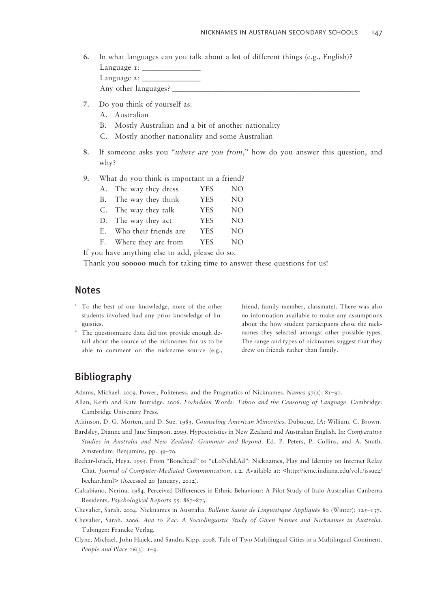- **6.** In what languages can you talk about a **lot** of different things (e.g., English)? Language 1: Language 2: \_
	- Any other languages?
- **7.** Do you think of yourself as:
	- A. Australian
	- B. Mostly Australian and a bit of another nationality
	- C. Mostly another nationality and some Australian
- **8.** If someone asks you "*where are you from*," how do you answer this question, and why?
- **9.** What do you think is important in a friend?

| A. The way they dress                                                                                           | <b>YES</b> | N <sub>O</sub> |
|-----------------------------------------------------------------------------------------------------------------|------------|----------------|
| B. The way they think                                                                                           | <b>YES</b> | N <sub>O</sub> |
| C. The way they talk                                                                                            | <b>YES</b> | N <sub>O</sub> |
| D. The way they act                                                                                             | <b>YES</b> | N <sub>O</sub> |
| E. Who their friends are                                                                                        | <b>YES</b> | N <sub>O</sub> |
| F. Where they are from                                                                                          | <b>YES</b> | NO.            |
| the contract of the contract of the contract of the contract of the contract of the contract of the contract of |            |                |

If you have anything else to add, please do so.

Thank you **sooooo** much for taking time to answer these questions for us!

#### **Notes**

- <sup>1</sup> To the best of our knowledge, none of the other students involved had any prior knowledge of linguistics.<br>The questionnaire data did not provide enough de-
- tail about the source of the nicknames for us to be able to comment on the nickname source (e.g.,

friend, family member, classmate). There was also no information available to make any assumptions about the how student participants chose the nicknames they selected amongst other possible types. The range and types of nicknames suggest that they drew on friends rather than family.

# Bibliography

Adams, Michael. 2009. Power, Politeness, and the Pragmatics of Nicknames. *Names* 57(2): 81–91.

- Allan, Keith and Kate Burridge. 2006. *Forbidden Words: Taboo and the Censoring of Language*. Cambridge: Cambridge University Press.
- Atkinson, D. G. Morten, and D. Sue. 1983. *Counseling American Minorities.* Dubuque, IA: William. C. Brown.
- Bardsley, Dianne and Jane Simpson. 2009. Hypocoristics in New Zealand and Australian English. In: *Comparative Studies in Australia and New Zealand: Grammar and Beyond*. Ed. P. Peters, P. Collins, and A. Smith. Amsterdam: Benjamins, pp. 49–70.
- Bechar-Israeli, Heya. 1995. From "Bonehead" to "cLoNehEAd": Nicknames, Play and Identity on Internet Relay Chat. *Journal of Computer-Mediated Communication*, *1.2.* Available at: <http://jcmc.indiana.edu/vol1/issue2/ bechar.html> (Accessed 20 January, 2012).
- Caltabiano, Nerina. 1984. Perceived Differences in Ethnic Behaviour: A Pilot Study of Italo-Australian Canberra Residents. *Psychological Reports* 55: 867–873.

Chevalier, Sarah. 2004. Nicknames in Australia. *Bulletin Suisse de Linguistique Appliquée* 80 (Winter): 125–137.

- Chevalier, Sarah. 2006. *Ava to Zac: A Sociolinguistic Study of Given Names and Nicknames in Australia*. Tubingen: Francke Verlag.
- Clyne, Michael, John Hajek, and Sandra Kipp. 2008. Tale of Two Multilingual Cities in a Multilingual Continent. *People and Place* 16(3): 1–9.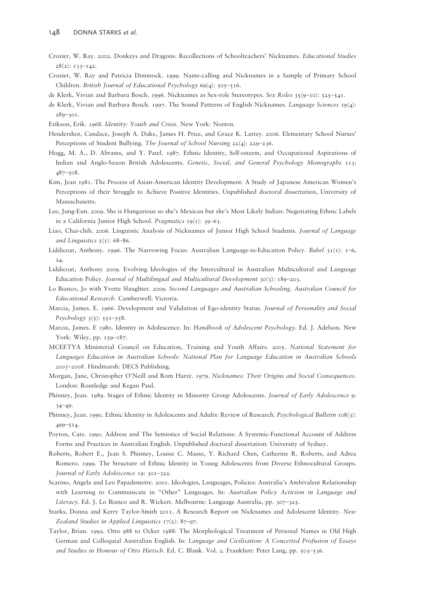- Crozier, W. Ray. 2002. Donkeys and Dragons: Recollections of Schoolteachers' Nicknames. *Educational Studies*   $28(2)$ : 133–142.
- Crozier, W. Ray and Patricia Dimmock. 1999. Name-calling and Nicknames in a Sample of Primary School Children. *British Journal of Educational Psychology* 69(4): 505–516.
- de Klerk, Vivian and Barbara Bosch. 1996. Nicknames as Sex-role Stereotypes. *Sex Roles* 35(9–10): 525–541.
- de Klerk, Vivian and Barbara Bosch. 1997. The Sound Patterns of English Nicknames. *Language Sciences* 19(4): 289–301.
- Erikson, Erik. 1968. *Identity: Youth and Crisis.* New York: Norton.
- Hendershot, Candace, Joseph A. Dake, James H. Price, and Grace K. Lartey. 2006. Elementary School Nurses' Perceptions of Student Bullying. *The Journal of School Nursing* 22(4): 229–236.
- Hogg, M. A., D. Abrams, and Y. Patel. 1987. Ethnic Identity, Self-esteem, and Occupational Aspirations of Indian and Anglo-Saxon British Adolescents. *Genetic, Social, and General Psychology Monographs* 113:  $487 - 508$ .
- Kim, Jean 1981. The Process of Asian-American Identity Development: A Study of Japanese American Women's Perceptions of their Struggle to Achieve Positive Identities. Unpublished doctoral dissertation, University of Massachusetts.
- Lee, Jung-Eun. 2009. She is Hungarious so she's Mexican but she's Most Likely Indian: Negotiating Ethnic Labels in a California Junior High School. *Pragmatics* 19(1): 39–63.
- Liao, Chai-chih. 2006. Linguistic Analysis of Nicknames of Junior High School Students. *Journal of Language and Linguistics* 5(1): 68–86.
- Liddicoat, Anthony. 1996. The Narrowing Focus: Australian Language-in-Education Policy. *Babel* 31(1): 1–6, 24.
- Liddicoat, Anthony 2009. Evolving Ideologies of the Intercultural in Australian Multicultural and Language Education Policy. *Journal of Multilingual and Multicultural Development* 30(3): 189–203.
- Lo Bianco, Jo with Yvette Slaughter. 2009. *Second Languages and Australian Schooling. Australian Council for Educational Research*. Camberwell: Victoria.
- Marcia, James. E. 1966. Development and Validation of Ego-identity Status. *Journal of Personality and Social Psychology* 3(5): 551–558.
- Marcia, James. E 1980. Identity in Adolescence. In: *Handbook of Adolescent Psychology*. Ed. J. Adelson. New York: Wiley, pp. 159–187.
- MCEETYA Ministerial Council on Education, Training and Youth Affairs. 2005. *National Statement for Languages Education in Australian Schools: National Plan for Language Education in Australian Schools 2005*–*2008.* Hindmarsh: DECS Publishing.
- Morgan, Jane, Christopher O'Neill and Rom Harré. 1979. *Nicknames: Their Origins and Social Consequences.* London: Routledge and Kegan Paul.
- Phinney, Jean. 1989. Stages of Ethnic Identity in Minority Group Adolescents. *Journal of Early Adolescence* 9: 34–49.
- Phinney, Jean. 1990. Ethnic Identity in Adolescents and Adults: Review of Research. *Psychological Bulletin* 108(3): 499–514.
- Poyton, Cate. 1990. Address and The Semiotics of Social Relations: A Systemic-Functional Account of Address Forms and Practices in Australian English. Unpublished doctoral dissertation: University of Sydney.
- Roberts, Robert E., Jean S. Phinney, Louise C. Masse, Y. Richard Chen, Catherine R. Roberts, and Adrea Romero. 1999. The Structure of Ethnic Identity in Young Adolescents from Diverse Ethnocultural Groups. *Journal of Early Adolescence* 19: 301–322.
- Scarino, Angela and Leo Papademetre. 2001. Ideologies, Languages, Policies: Australia's Ambivalent Relationship with Learning to Communicate in "Other" Languages. In: *Australian Policy Activism in Language and Literacy*. Ed. J. Lo Bianco and R. Wickert. Melbourne: Language Australia, pp. 307–325.
- Starks, Donna and Kerry Taylor-Smith 2011. A Research Report on Nicknames and Adolescent Identity. *New Zealand Studies in Applied Linguistics* 17(2): 87–97.
- Taylor, Brian. 1992. Otto 988 to Ocker 1988: The Morphological Treatment of Personal Names in Old High German and Colloquial Australian English. In: *Language and Civilisation: A Concerted Profusion of Essays and Studies in Honour of Otto Hietsch.* Ed. C. Blank. Vol. 2. Frankfurt: Peter Lang, pp. 503–536.